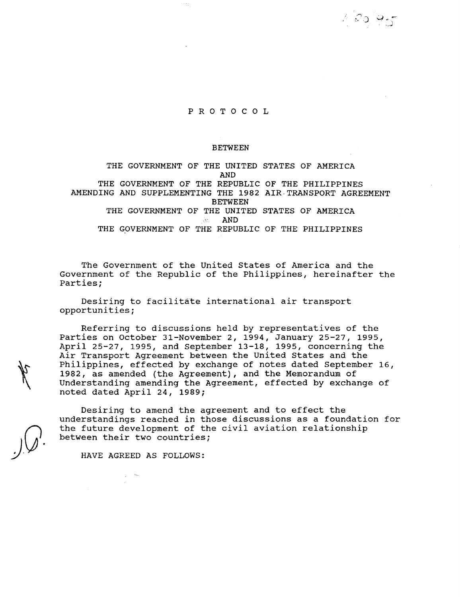# P R O T O C O L

#### BETWEEN

THE GOVERNMENT OF THE UNITED STATES OF AMERICA AND THE GOVERNMENT OF THE REPUBLIC OF THE PHILIPPINES AMENDING AND SUPPLEMENTING THE 1982 AIR-TRANSPORT AGREEMENT BETWEEN THE GOVERNMENT OF THE UNITED STATES OF AMERICA AND THE GOVERNMENT OF THE REPUBLIC OF THE PHILIPPINES

The Government of the United States of America and the Government of the Republic of the Philippines, hereinafter the Parties;

Desiring to facilitate international air transport opportunities ;

Referring to discussions held by representatives of the Parties on October 31-November 2, 1994, January 25-27, 1995, April 25-27, 1995, and September 13-18, 1995, concerning the Air Transport Agreement between the United States and the Philippines, effected by exchange of notes dated September 16, 1982, as amended (the Agreement), and the Memorandum of Understanding amending the Agreement, effected by exchange of noted dated April 24, 1989 ;

Desiring to amend the agreement and to effect the understandings reached in those discussions as a foundation for the future development of the civil aviation relationship between their two countries;

HAVE AGREED AS FOLLOWS :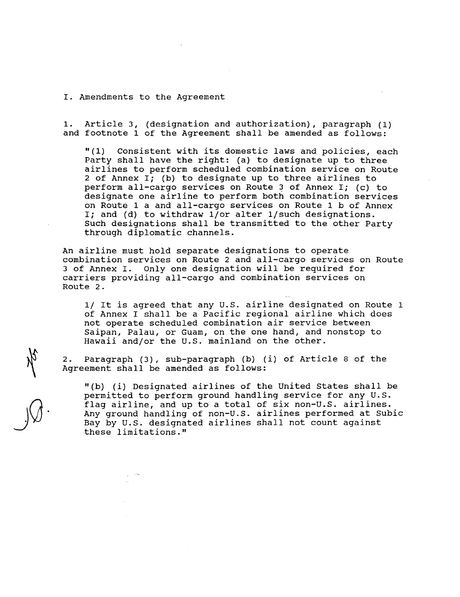I. Amendments to the Agreement

1. Article 3, (designation and authorization), paragraph (1) and footnote 1 of the Agreement shall be amended as follows:

"(1) Consistent with its domestic laws and policies, each Party shall have the right: (a) to designate up to three airlines to perform scheduled combination service on Route 2 of Annex I; (b) to designate up to three airlines to perform all-cargo services on Route 3 of Annex I; (c) to designate one airline to perform both combination services on Route 1 a and all-cargo services on Route 1 b of Annex I; and (d) to withdraw 1/or alter 1/such designations. Such designations shall be transmitted to the other Party through diplomatic channels .

An airline must hold separate designations to operate combination services on Route 2 and all-cargo services on Route 3 of Annex I. Only one designation will be required for carriers providing all-cargo and combination services on Route 2 .

1/ It is agreed that any U.S. airline designated on Route 1 of Annex I shall be a Pacific regional airline which does not operate scheduled combination air service between Saipan, Palau, or Guam, on the one hand, and nonstop to Hawaii and/or the U.S. mainland on the other.

<sup>2</sup> . Paragraph (3), sub-paragraph (b) (i) of Article 8 of the Agreement shall be amended as follows :

"(b) (i) Designated airlines of the United States shall be permitted to perform ground handling service for any U.S. flag airline, and up to a total of six non-U.S. airlines. Any ground handling of non-U.S. airlines performed at Subic Bay by U.S. designated airlines shall not count against these limitations ."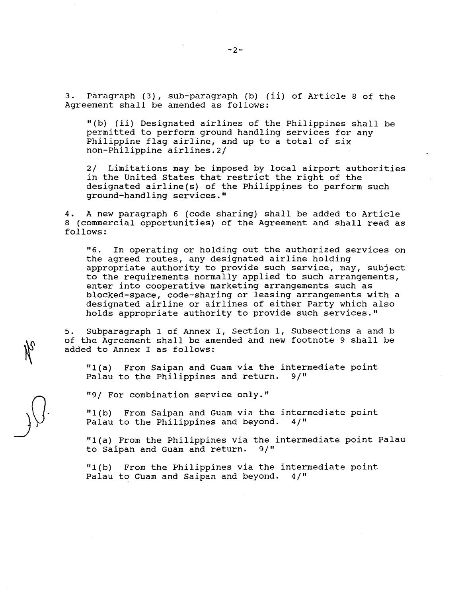<sup>3</sup> . Paragraph (3), sub-paragraph (b) (ii) of Article <sup>8</sup> of the Agreement shall be amended as follows:

"(b) (ii) Designated airlines of the Philippines shall be permitted to perform ground handling services for any Philippine flag airline, and up to a total of six non-Philippine airlines .2/

2/ Limitations may be imposed by local airport authorities in the United States that restrict the right of the designated airline(s) of the Philippines to perform such ground-handling services ."

<sup>4</sup> . A new paragraph 6 (code sharing) shall be added to Article 8 (commercial opportunities) of the Agreement and shall read as follows :

"6. In operating or holding out the authorized services on the agreed routes, any designated airline holding appropriate authority to provide such service, may, subject to the requirements normally applied to such arrangements, enter into cooperative marketing arrangements such as blocked-space, code-sharing or leasing arrangements with-a designated airline or airlines of either Party which also holds appropriate authority to provide such services ."

<sup>5</sup> . Subparagraph 1 of Annex I, Section 1, Subsections a and b of the Agreement shall be amended and new footnote 9 shall be added to Annex I as follows:

"1(a) From Saipan and Guam via the intermediate point Palau to the Philippines and return.

"9/ For combination service only ."

"1(b) From Saipan and Guam via the intermediate point Palau to the Philippines and beyond.  $4/$ "

" $1(a)$  From the Philippines via the intermediate point Palau to Saipan and Guam and return.  $9/$ " to Saipan and Guam and return.

"1(b) From the Philippines via the intermediate point Palau to Guam and Saipan and beyond.  $4/$ "

 $\bigcup$ .

 $\mathcal{L}$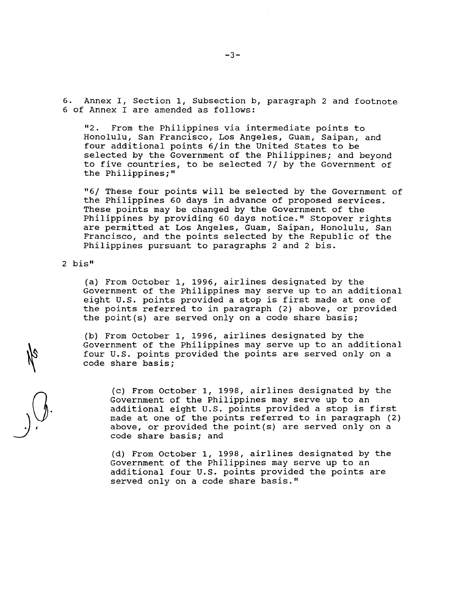<sup>6</sup> . Annex I, Section 1, Subsection b, paragraph <sup>2</sup> and footnote <sup>6</sup> of Annex <sup>I</sup> are amended as follows :

"2. From the Philippines via intermediate points to Honolulu, San Francisco, Los Angeles, Guam, Saipan, and four additional points 6/in the United States to be selected by the Government of the Philippines; and beyond to five countries, to be selected 7/ by the Government of the Philippines ;"

"6/ These four points will be selected by the Government of the Philippines 60 days in advance of proposed services . These points may be changed by the Government of the Philippines by providing 60 days notice ." Stopover rights are permitted at Los Angeles, Guam, Saipan, Honolulu, San Francisco, and the points selected by the Republic of the Philippines pursuant to paragraphs 2 and 2 bis .

2 bis"

(a) From October 1, 1996, airlines designated by the Government of the Philippines may serve up to an additional eight U.S. points provided a stop is first made at one of the points referred to in paragraph (2) above, or provided the  $point(s)$  are served only on a code share basis;

(b) From October 1, 1996, airlines designated by the Government of the Philippines may serve up to an additional four U.S. points provided the points are served only on a code share basis ;

(c) From October 1, 1998, airlines designated by the Government of the Philippines may serve up to an additional eight U.S. points provided a stop is first made at one of the points referred to in paragraph (2) above, or provided the point(s) are served only on a code share basis; and

(d) From October 1, 1998, airlines designated by the Government of the Philippines may serve up to an additional four U.S. points provided the points are served only on a code share basis."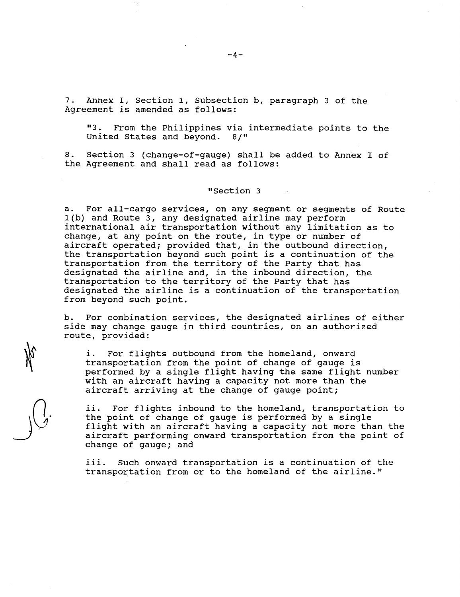<sup>7</sup> . Annex I, Section 1, Subsection b, paragraph <sup>3</sup> of the Agreement is amended as follows:

"3. From the Philippines via intermediate points to the United States and beyond. 8/"

<sup>8</sup> . Section <sup>3</sup> (change-of-gauge) shall be added to Annex <sup>I</sup> of the Agreement and shall read as follows :

# "Section 3

a. For all-cargo services, on any segment or segments of Route 1(b) and Route 3, any designated airline may perform international air transportation without any limitation as to change, at any point on the route, in type or number of aircraft operated; provided that, in the outbound direction, the transportation beyond such point is a continuation of the transportation from the territory of the Party that has designated the airline and, in the inbound direction, the transportation to the territory of the Party that has designated the airline is a continuation of the transportation from beyond such point.

b. For combination services, the designated airlines of either side may change gauge in third countries, on an authorized route, provided:

i. For flights outbound from the homeland, onward transportation from the point of change of gauge is performed by a single flight having the same flight number with an aircraft having a capacity not more than the aircraft arriving at the change of gauge point;

ii. For flights inbound to the homeland, transportation to the point of change of gauge is performed by a single flight with an aircraft having a capacity not more than the aircraft performing onward transportation from the point of change of gauge; and

iii. Such onward transportation is a continuation of the transportation from or to the homeland of the airline ."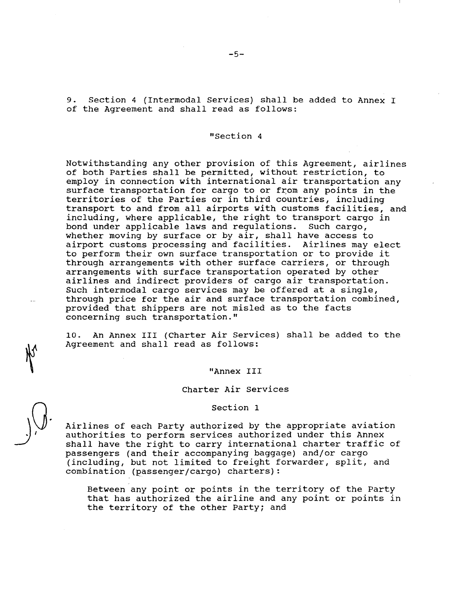<sup>9</sup> . Section <sup>4</sup> (Intermodal Services) shall be added to Annex <sup>I</sup> of the Agreement and shall read as follows :

# "Section 4

Notwithstanding any other provision of this Agreement, airlines of both Parties shall be permitted, without restriction, to employ in connection with international air transportation any surface transportation for cargo to or from any points in the territories of the Parties or in third countries, including transport to and from all airports with customs facilities, and including, where applicable, the right to transport cargo in bond under applicable laws and requlations. Such cargo, whether moving by surface or by air, shall have access to airport customs processing and facilities . Airlines may elect to perform their own surface transportation or to provide it through arrangements with other surface carriers, or through arrangements with surface transportation operated by other airlines and indirect providers of cargo air transportation . Such intermodal cargo services may be offered at a single, through price for the air and surface transportation combined, provided that shippers are not misled as to the facts concerning such transportation ."

10 . An Annex III (Charter Air services) shall be added to the Agreement and shall read as follows:

"Annex III

#### Charter Air Services

Section 1

Airlines of each Party authorized by the appropriate aviation authorities to perform services authorized under this Annex shall have the right to carry international charter traffic of passengers (and their accompanying baggage) and/or cargo (including, but not limited to freight forwarder, split, and combination (passenger/cargo) charters) :

Between any point or points in the territory of the Party that has authorized the airline and any point or points in the territory of the other Party; and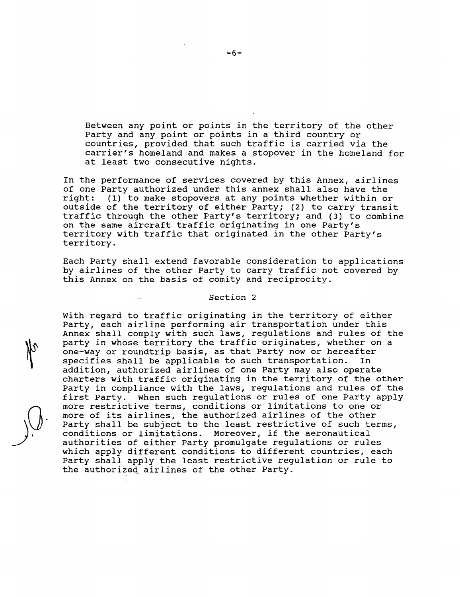Between any point or points in the territory of the other Party and any point or points in a third country or countries, provided that such traffic is carried via the carrier's homeland and makes a stopover in the homeland for at least two consecutive nights .

In the performance of services covered by this Annex, airlines of one Party authorized under this annex shall also have the<br>right: (1) to make stopovers at any points whether within op (1) to make stopovers at any points whether within or outside of the territory of either Party; (2) to carry transit traffic through the other Party's territory; and (3) to combine on the same aircraft traffic originating in one Party's territory with traffic that originated in the other Party's territory .

Each Party shall extend favorable consideration to applications by airlines of the other Party to carry traffic not covered by this Annex on the basis of comity and reciprocity .

# Section 2

With regard to traffic originating in the territory of either Party, each airline performing air transportation under this Annex shall comply with such laws, regulations and rules of the party in whose territory the traffic originates, whether on a one-way or roundtrip basis, as that Party now or hereafter specifies shall be applicable to such transportation. In addition, authorized airlines of one Party may also operate charters with traffic originating in the territory of the other Party in compliance with the laws, regulations and rules of the first Party. When such regulations or rules of one Party apply more restrictive terms, conditions or limitations to one or more of its airlines, the authorized airlines of the other Party shall be subject to the least restrictive of such terms, conditions or limitations. Moreover, if the aeronautical authorities of either Party promulgate regulations or rules which apply different conditions to different countries, each Party shall apply the least restrictive regulation or rule to the authorized airlines of the other Party.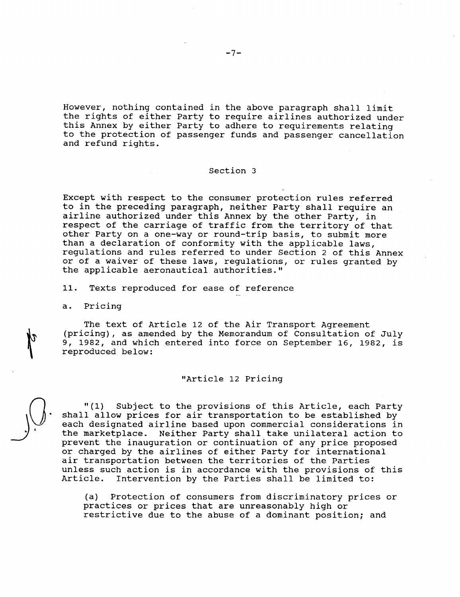However, nothing contained in the above paragraph shall limit the rights of either Party to require airlines authorized under this Annex by either Party to adhere to requirements relating to the protection of passenger funds and passenger cancellation and refund rights .

### Section 3

Except with respect to the consumer protection rules referred to in the preceding paragraph, neither Party shall require an airline authorized under this Annex by the other Party, in respect of the carriage of traffic from the territory of that other Party on a one-way or round-trip basis, to submit more than a declaration of conformity with the applicable laws, regulations and rules referred to under Section 2 of this Annex or of a waiver of these laws, regulations, or rules granted by the applicable aeronautical authorities ."

11. Texts reproduced for ease of reference

a. Pricing

The text of Article 12 of the Air Transport Agreement (pricing), as amended by the Memorandum of Consultation of July 9, 1982, and which entered into force on September 16, 1982, is reproduced below:

# "Article 12 Pricing

"(1) Subject to the provisions of this Article, each Party shall allow prices for air transportation to be established by each designated airline based upon commercial considerations in the marketplace. Neither Party shall take unilateral action to prevent the inauguration or continuation of any price proposed or charged by the airlines of either Party for international air transportation between the territories of the Parties unless such action is in accordance with the provisions of this Article. Intervention by the Parties shall be limited to: Intervention by the Parties shall be limited to:

(a) Protection of consumers from discriminatory prices or practices or prices that are unreasonably high or restrictive due to the abuse of a dominant position; and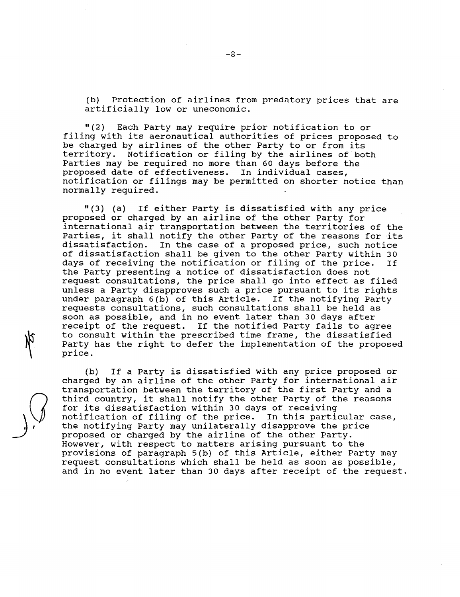(b) Protection of airlines from predatory prices that are artificially low or uneconomic .

• (2) Each Party may require prior notification to or filing with its aeronautical authorities of prices proposed to be charged by airlines of the other Party to or from its territory. Notification or filing by the airlines of both Parties may be required no more than 60 days before the proposed date of effectiveness. In individual cases, notification or filings may be permitted on shorter notice than normally required .

• (3) (a) If either Party is dissatisfied with any price proposed or charged by an airline of the other Party for international air transportation between the territories of the Parties, it shall notify the other Party of the reasons for its dissatisfaction. In the case of a proposed price, such notice of dissatisfaction shall be given to the other Party within 30<br>days of receiving the notification or filing of the price. If days of receiving the notification or filing of the price. the Party presenting a notice of dissatisfaction does not request consultations, the price shall go into effect as filed unless a Party disapproves such a price pursuant to its rights under paragraph 6(b) of this Article. If the notifying Party requests consultations, such consultations shall be held as soon as possible, and in no event later than 30 days after receipt of the request. If the notified Party fails to agree to consult within the prescribed time frame, the dissatisfied Party has the right to defer the implementation of the proposed price .

(b) If a Party is dissatisfied with any price proposed or charged by an airline of the other Party for international air transportation between the territory of the first Party and a third country, it shall notify the other Party of the reasons for its dissatisfaction within 30 days of receiving notification of filing of the price. In this particular case, the notifying Party may unilaterally disapprove the price proposed or charged by the airline of the other Party. However, with respect to matters arising pursuant to the provisions of paragraph 5(b) of this Article, either Party may request consultations which shall be held as soon as possible, and in no event later than 30 days after receipt of the request.

 $-8-$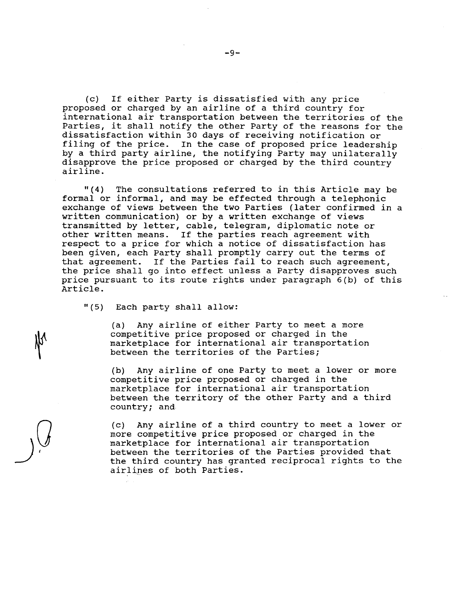(c) If either Party is dissatisfied with any price proposed or charged by an airline of a third country for international air transportation between the territories of the Parties, it shall notify the other Party of the reasons for the dissatisfaction within 30 days of receiving notification or filing of the price. In the case of proposed price leadership by a third party airline, the notifying Party may unilaterally disapprove the price proposed or charged by the third country airline .

"(4) The consultations referred to in this Article may be formal or informal, and may be effected through a telephonic exchange of views between the two Parties (later confirmed in a written communication) or by a written exchange of views transmitted by letter, cable, telegram, diplomatic note or other written means. If the parties reach agreement with respect to a price for which a notice of dissatisfaction has been given, each Party shall promptly carry out the terms of that agreement. If the Parties fail to reach such agreement, the price shall go into effect unless a Party disapproves such price pursuant to its route rights under paragraph 6(b) of this Article.

"(5) Each party shall allow:

(a) Any airline of either Party to meet a more competitive price proposed or charged in the marketplace for international air transportation between the territories of the Parties;

(b) Any airline of one Party to meet a lower or more competitive price proposed or charged in the marketplace for international air transportation between the territory of the other Party and a third country; and

(c) Any airline of a third country to meet a lower or more competitive price proposed or charged in the marketplace for international air transportation between the territories of the Parties provided that the third country has granted reciprocal rights to the airlines of both Parties .